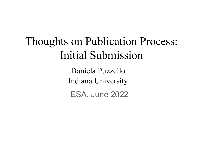# Thoughts on Publication Process: Initial Submission

Daniela Puzzello Indiana University

ESA, June 2022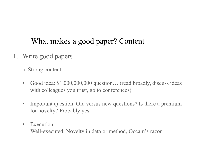## What makes a good paper? Content

- 1. Write good papers
	- a. Strong content
	- Good idea: \$1,000,000,000 question... (read broadly, discuss ideas with colleagues you trust, go to conferences)
	- Important question: Old versus new questions? Is there a premium for novelty? Probably yes
	- Execution:

Well-executed, Novelty in data or method, Occam's razor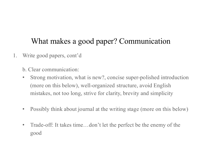## What makes a good paper? Communication

- 1. Write good papers, cont'd
	- b. Clear communication:
	- Strong motivation, what is new?, concise super-polished introduction (more on this below), well-organized structure, avoid English mistakes, not too long, strive for clarity, brevity and simplicity
	- Possibly think about journal at the writing stage (more on this below)
	- Trade-off: It takes time...don't let the perfect be the enemy of the good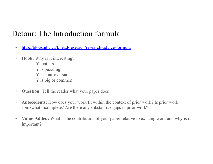## Detour: The Introduction formula

- [http://blogs.ubc.ca/khead/research/research-advice/formul](http://blogs.ubc.ca/khead/research/research-advice/formula)a
- **Hook:** Why is it interesting? Y matters Y is puzzling Y is controversial Y is big or common
- **Question:** Tell the reader what your paper does
- **Antecedents:** How does your work fit within the context of prior work? Is prior work somewhat incomplete? Are there any substantive gaps in prior work?
- **Value-Added:** What is the contribution of your paper relative to existing work and why is it important?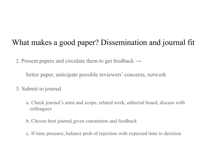## What makes a good paper? Dissemination and journal fit

2. Present papers and circulate them to get feedback  $\rightarrow$ 

better paper, anticipate possible reviewers' concerns, network

- 3. Submit to journal
	- a. Check journal's aims and scope, related work, editorial board, discuss with colleagues
	- b. Choose best journal given constraints and feedback
	- c. If time pressure, balance prob of rejection with expected time to decision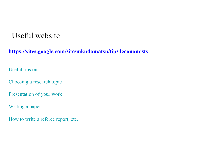## Useful website

**[https://sites.google.com/site/mkudamatsu/tips4economist](https://sites.google.com/site/mkudamatsu/tips4economists)s**

Useful tips on:

Choosing a research topic

Presentation of your work

Writing a paper

How to write a referee report, etc.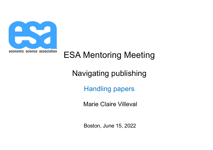

# ESA Mentoring Meeting

Navigating publishing

Handling papers

Marie Claire Villeval

Boston, June 15, 2022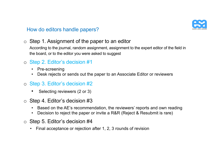

o Step 1. Assignment of the paper to an editor

According to the journal, random assignment, assignment to the expert editor of the field in the board, or to the editor you were asked to suggest

- o Step 2. Editor's decision #1
	- Pre-screening
	- Desk rejects or sends out the paper to an Associate Editor or reviewers
- o Step 3. Editor's decision #2
	- Selecting reviewers (2 or 3)
- o Step 4. Editor's decision #3
	- Based on the AE's recommendation, the reviewers' reports and own reading
	- Decision to reject the paper or invite a R&R (Reject & Resubmit is rare)
- o Step 5. Editor's decision #4
	- Final acceptance or rejection after 1, 2, 3 rounds of revision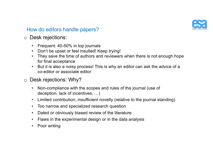

## o Desk rejections:

- Frequent: 40-50% in top journals
- Don't be upset or feel insulted! Keep trying!
- They save the time of authors and reviewers when there is not enough hope for final acceptance
- But it is also a noisy process! This is why an editor can ask the advice of a co-editor or associate editor
- o Desk rejections: Why?
	- Non-compliance with the scopes and rules of the journal (use of deception, lack of incentives, …)
	- Limited contribution, insufficient novelty (relative to the journal standing)
	- Too narrow and specialized research question
	- Dated or obviously biased review of the literature
	- Flaws in the experimental design or in the data analysis
	- Poor writing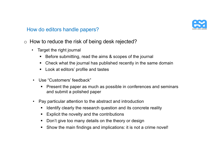

- o How to reduce the risk of being desk rejected?
	- Target the right journal
		- Before submitting, read the aims & scopes of the journal
		- § Check what the journal has published recently in the same domain
		- § Look at editors' profile and tastes
	- Use "Customers' feedback"
		- Present the paper as much as possible in conferences and seminars and submit a polished paper
	- Pay particular attention to the abstract and introduction
		- Identify clearly the research question and its concrete reality
		- Explicit the novelty and the contributions
		- Don't give too many details on the theory or design
		- § Show the main findings and implications: it is not a crime novel!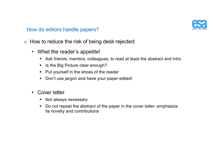

- o How to reduce the risk of being desk rejected:
	- Whet the reader's appetite!
		- § Ask friends, mentors, colleagues, to read at least the abstract and intro
		- § Is the Big Picture clear enough?
		- § Put yourself in the shoes of the reader
		- § Don't use jargon and have your paper edited!
	- Cover letter
		- Not always necessary
		- Do not repeat the abstract of the paper in the cover letter; emphasize its novelty and contributions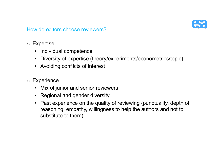

## How do editors choose reviewers?

## o Expertise

- Individual competence
- Diversity of expertise (theory/experiments/econometrics/topic)
- Avoiding conflicts of interest
- o Experience
	- Mix of junior and senior reviewers
	- Regional and gender diversity
	- Past experience on the quality of reviewing (punctuality, depth of reasoning, empathy, willingness to help the authors and not to substitute to them)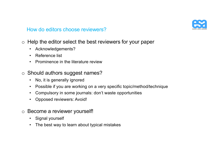

### How do editors choose reviewers?

- o Help the editor select the best reviewers for your paper
	- Acknowledgements?
	- Reference list
	- Prominence in the literature review
- o Should authors suggest names?
	- No, it is generally ignored
	- Possible if you are working on a very specific topic/method/technique
	- Compulsory in some journals: don't waste opportunities
	- Opposed reviewers: Avoid!
- o Become a reviewer yourself!
	- Signal yourself
	- The best way to learn about typical mistakes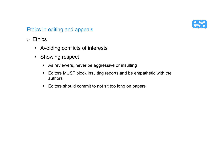

## Ethics in editing and appeals

- o Ethics
	- Avoiding conflicts of interests
	- Showing respect
		- As reviewers, never be aggressive or insulting
		- Editors MUST block insulting reports and be empathetic with the authors
		- Editors should commit to not sit too long on papers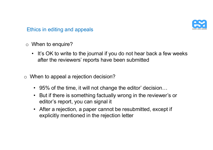

Ethics in editing and appeals

o When to enquire?

- It's OK to write to the journal if you do not hear back a few weeks after the reviewers' reports have been submitted
- o When to appeal a rejection decision?
	- 95% of the time, it will not change the editor' decision...
	- But if there is something factually wrong in the reviewer's or editor's report, you can signal it
	- After a rejection, a paper cannot be resubmitted, except if explicitly mentioned in the rejection letter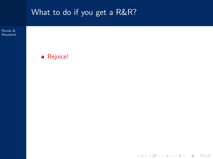<span id="page-15-0"></span>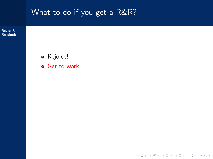

イロト イ団 トイミト イミト ニミー りんぺ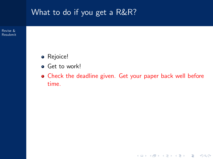Revise & [Resubmit](#page-15-0)

- Rejoice!
- **•** Get to work!
- Check the deadline given. Get your paper back well before time.

K ロ > K @ > K 할 > K 할 > 1 할 > 9 Q Q\*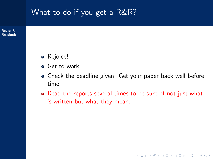Revise & [Resubmit](#page-15-0)

- **•** Rejoice!
- **•** Get to work!
- Check the deadline given. Get your paper back well before time.
- Read the reports several times to be sure of not just what is written but what they mean.

K ロ > K @ > K 할 > K 할 > 1 할 > 9 Q Q\*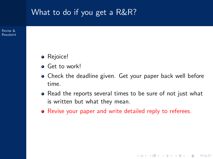Revise & [Resubmit](#page-15-0)

- **•** Rejoice!
- **•** Get to work!
- Check the deadline given. Get your paper back well before time.
- Read the reports several times to be sure of not just what is written but what they mean.

**KOD KARD KED KED E VOOR** 

Revise your paper and write detailed reply to referees.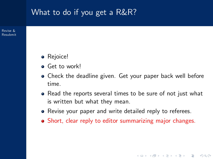Revise & [Resubmit](#page-15-0)

- **•** Rejoice!
- **•** Get to work!
- Check the deadline given. Get your paper back well before time.
- Read the reports several times to be sure of not just what is written but what they mean.
- Revise your paper and write detailed reply to referees.
- Short, clear reply to editor summarizing major changes.

**KOD KARD KED KED E VOOR**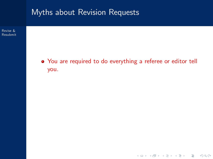

イロト イ団 トイミト イミト ニミー りんぺ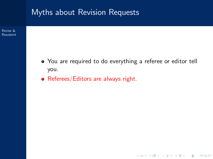

Revise & [Resubmit](#page-15-0)

> You are required to do everything a referee or editor tell you.

> > K ロ > K 레 > K 코 > K 코 > 『코 → 이익C\*

• Referees/Editors are always right.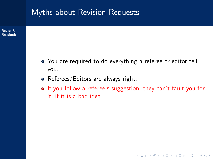#### Myths about Revision Requests

Revise & [Resubmit](#page-15-0)

- You are required to do everything a referee or editor tell you.
- Referees/Editors are always right.
- If you follow a referee's suggestion, they can't fault you for it, if it is a bad idea.

**KOD KARD KED KED E VOOR**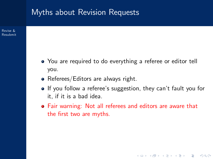#### Myths about Revision Requests

Revise & [Resubmit](#page-15-0)

- You are required to do everything a referee or editor tell you.
- Referees/Editors are always right.
- **If** you follow a referee's suggestion, they can't fault you for it, if it is a bad idea.

**KOD KARD KED KED E VOOR** 

Fair warning: Not all referees and editors are aware that the first two are myths.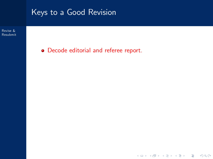Revise & [Resubmit](#page-15-0)

Decode editorial and referee report.

イロト イ団 トイミト イミト ニミー りんぺ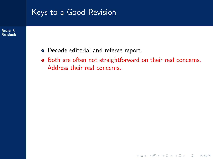Revise & [Resubmit](#page-15-0)

- Decode editorial and referee report.
- Both are often not straightforward on their real concerns. Address their real concerns.

K ロ > K 레 > K 코 > K 코 > 『코 → 이익C\*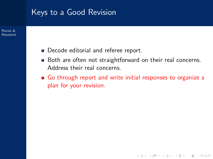Revise & [Resubmit](#page-15-0)

- Decode editorial and referee report.
- Both are often not straightforward on their real concerns. Address their real concerns.
- Go through report and write initial responses to organize a plan for your revision.

**KOD KARD KED KED E VOOR**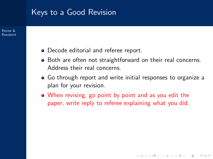Revise & [Resubmit](#page-15-0)

- Decode editorial and referee report.
- Both are often not straightforward on their real concerns. Address their real concerns.
- Go through report and write initial responses to organize a plan for your revision.

**KOD KARD KED KED E VOOR** 

When revising, go point by point and as you edit the paper, write reply to referee explaining what you did.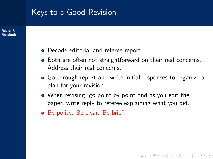Revise & [Resubmit](#page-15-0)

- Decode editorial and referee report.
- Both are often not straightforward on their real concerns. Address their real concerns.
- Go through report and write initial responses to organize a plan for your revision.

**KOD KARD KED KED E VOOR** 

- When revising, go point by point and as you edit the paper, write reply to referee explaining what you did.
- Be polite. Be clear. Be brief.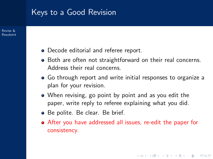Revise & [Resubmit](#page-15-0)

- Decode editorial and referee report.
- Both are often not straightforward on their real concerns. Address their real concerns.
- Go through report and write initial responses to organize a plan for your revision.
- When revising, go point by point and as you edit the paper, write reply to referee explaining what you did.
- Be polite. Be clear. Be brief.
- After you have addressed all issues, re-edit the paper for consistency.

**KOD KARD KED KED E VOOR**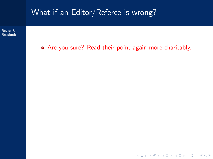

KID KIN KERKER E 1990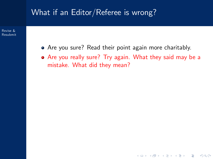Revise & [Resubmit](#page-15-0)

- Are you sure? Read their point again more charitably.
- Are you really sure? Try again. What they said may be a mistake. What did they mean?

**KOD KARD KED KED E VOOR**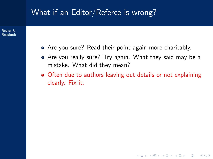Revise & [Resubmit](#page-15-0)

- Are you sure? Read their point again more charitably.
- Are you really sure? Try again. What they said may be a mistake. What did they mean?
- Often due to authors leaving out details or not explaining clearly. Fix it.

**KOD KARD KED KED E VOOR**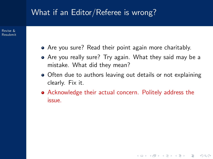Revise & [Resubmit](#page-15-0)

- Are you sure? Read their point again more charitably.
- Are you really sure? Try again. What they said may be a mistake. What did they mean?
- Often due to authors leaving out details or not explaining clearly. Fix it.

**KOD KARD KED KED E VOOR** 

Acknowledge their actual concern. Politely address the issue.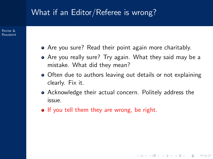Revise & [Resubmit](#page-15-0)

- Are you sure? Read their point again more charitably.
- Are you really sure? Try again. What they said may be a mistake. What did they mean?
- Often due to authors leaving out details or not explaining clearly. Fix it.

**KOD KARD KED KED E VOOR** 

- Acknowledge their actual concern. Politely address the issue.
- If you tell them they are wrong, be right.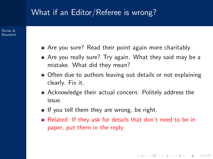Revise & [Resubmit](#page-15-0)

- Are you sure? Read their point again more charitably.
- Are you really sure? Try again. What they said may be a mistake. What did they mean?
- Often due to authors leaving out details or not explaining clearly. Fix it.
- Acknowledge their actual concern. Politely address the issue.
- If you tell them they are wrong, be right.
- Related: If they ask for details that don't need to be in paper, put them in the reply.

**KOD KARD KED KED E VOOR**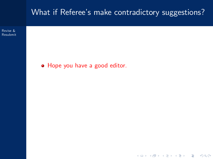#### What if Referee's make contradictory suggestions?

K ロ > K @ > K 할 > K 할 > 1 할 > 9 Q Q\*

Revise & [Resubmit](#page-15-0)

Hope you have a good editor.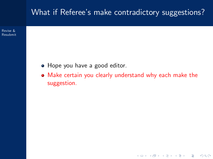#### What if Referee's make contradictory suggestions?

Revise & [Resubmit](#page-15-0)

- Hope you have a good editor.
- Make certain you clearly understand why each make the suggestion.

K ロ > K @ > K 할 > K 할 > 1 할 > 9 Q Q\*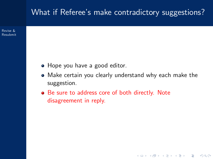#### What if Referee's make contradictory suggestions?

Revise & [Resubmit](#page-15-0)

- Hope you have a good editor.
- Make certain you clearly understand why each make the suggestion.

**KOD KARD KED KED E VOOR** 

Be sure to address core of both directly. Note disagreement in reply.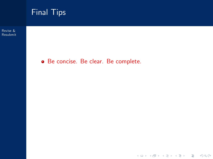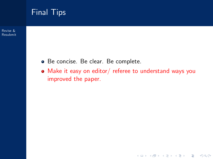

#### Final Tips

- Be concise. Be clear. Be complete.
- Make it easy on editor/ referee to understand ways you improved the paper.

K ロ > K 레 > K 코 > K 코 > 『코 → 이익C\*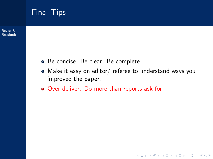

[Resubmit](#page-15-0)

- Be concise. Be clear. Be complete.
- Make it easy on editor/ referee to understand ways you improved the paper.

K ロ > K @ > K 할 > K 할 > 1 할 > 9 Q Q\*

Over deliver. Do more than reports ask for.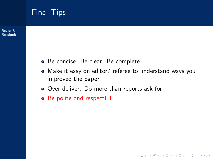

Revise & [Resubmit](#page-15-0)

- Be concise. Be clear. Be complete.
- Make it easy on editor/ referee to understand ways you improved the paper.

K ロ > K @ > K 할 > K 할 > 1 할 > 9 Q Q\*

- Over deliver. Do more than reports ask for.
- Be polite and respectful.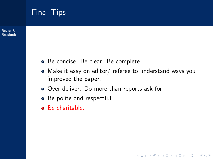#### Final Tips

Revise & [Resubmit](#page-15-0)

- Be concise. Be clear. Be complete.
- Make it easy on editor/ referee to understand ways you improved the paper.

K ロ > K @ > K 할 > K 할 > 1 할 > 9 Q Q\*

- Over deliver. Do more than reports ask for.
- Be polite and respectful.
- Be charitable.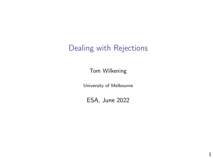#### Dealing with Rejections

Tom Wilkening

University of Melbourne

ESA, June 2022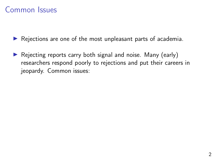$\triangleright$  Rejections are one of the most unpleasant parts of academia.

 $\triangleright$  Rejecting reports carry both signal and noise. Many (early) researchers respond poorly to rejections and put their careers in jeopardy. Common issues: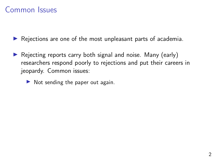- $\triangleright$  Rejecting reports carry both signal and noise. Many (early) researchers respond poorly to rejections and put their careers in jeopardy. Common issues:
	- $\triangleright$  Not sending the paper out again.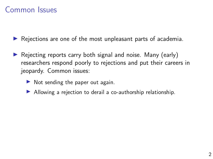- $\triangleright$  Rejecting reports carry both signal and noise. Many (early) researchers respond poorly to rejections and put their careers in jeopardy. Common issues:
	- $\triangleright$  Not sending the paper out again.
	- $\blacktriangleright$  Allowing a rejection to derail a co-authorship relationship.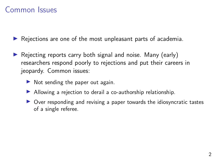- $\triangleright$  Rejecting reports carry both signal and noise. Many (early) researchers respond poorly to rejections and put their careers in jeopardy. Common issues:
	- $\triangleright$  Not sending the paper out again.
	- $\blacktriangleright$  Allowing a rejection to derail a co-authorship relationship.
	- $\triangleright$  Over responding and revising a paper towards the idiosyncratic tastes of a single referee.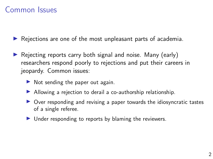- $\triangleright$  Rejecting reports carry both signal and noise. Many (early) researchers respond poorly to rejections and put their careers in jeopardy. Common issues:
	- $\triangleright$  Not sending the paper out again.
	- $\blacktriangleright$  Allowing a rejection to derail a co-authorship relationship.
	- $\triangleright$  Over responding and revising a paper towards the idiosyncratic tastes of a single referee.
	- $\blacktriangleright$  Under responding to reports by blaming the reviewers.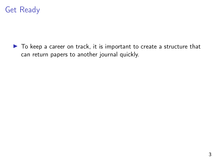

 $\blacktriangleright$  To keep a career on track, it is important to create a structure that can return papers to another journal quickly.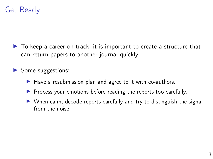

 $\triangleright$  To keep a career on track, it is important to create a structure that can return papers to another journal quickly.

 $\triangleright$  Some suggestions:

- $\blacktriangleright$  Have a resubmission plan and agree to it with co-authors.
- $\triangleright$  Process your emotions before reading the reports too carefully.
- $\triangleright$  When calm, decode reports carefully and try to distinguish the signal from the noise.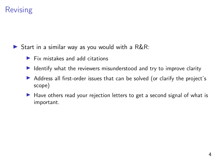#### **Revising**

Start in a similar way as you would with a  $R\&R$ :

- $\blacktriangleright$  Fix mistakes and add citations
- $\blacktriangleright$  Identify what the reviewers misunderstood and try to improve clarity
- Address all first-order issues that can be solved (or clarify the project's scope)
- $\blacktriangleright$  Have others read your rejection letters to get a second signal of what is important.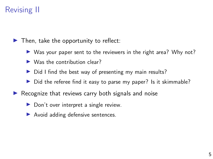#### Revising II

 $\blacktriangleright$  Then, take the opportunity to reflect:

- $\triangleright$  Was your paper sent to the reviewers in the right area? Why not?
- $\triangleright$  Was the contribution clear?
- $\triangleright$  Did I find the best way of presenting my main results?
- $\triangleright$  Did the referee find it easy to parse my paper? Is it skimmable?
- Recognize that reviews carry both signals and noise
	- $\triangleright$  Don't over interpret a single review.
	- $\blacktriangleright$  Avoid adding defensive sentences.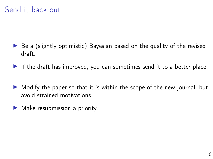#### Send it back out

- $\triangleright$  Be a (slightly optimistic) Bayesian based on the quality of the revised draft.
- If the draft has improved, you can sometimes send it to a better place.
- $\triangleright$  Modify the paper so that it is within the scope of the new journal, but avoid strained motivations.
- $\blacktriangleright$  Make resubmission a priority.